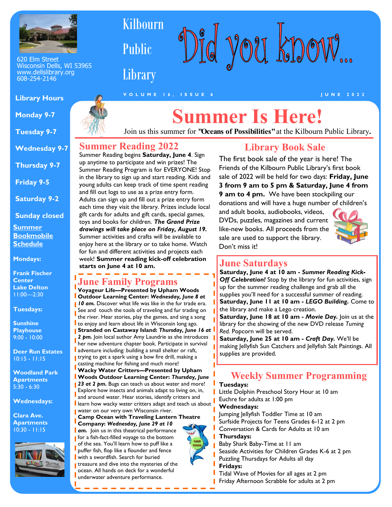

620 Elm Street Wisconsin Dells, WI 53965 www.dellslibrary.org 608-254-2146

#### **Library Hours**

 **Monday 9-7**

 **Tuesday 9-7**

 **Wednesday 9-7**

 **Thursday 9-7**

 **Friday 9-5**

 **Saturday 9-2**

 **Sunday closed**

**Summer Bookmobile Schedule** 

**Mondays:**

**Frank Fischer Center Lake Delton**   $1!:00$  - 2:30

**Tuesdays:** 

**Sunshine Playhouse**  9:00 - 10:00

**Deer Run Estates**  10:15 - 11:15

**Woodland Park Apartments** 5:30 - 6:30

**Wednesdays:**

**Clara Ave. Apartments** 10:30 - 11:15





# **Summer Is Here!**

Join us this summer for **"Oceans of Possibilities"** at the Kilbourn Public Library**.** 

### **Summer Reading 2022**

Kilbourn

Public

**Library** 

Summer Reading begins **Saturday, June 4**. Sign up anytime to participate and win prizes! The Summer Reading Program is for EVERYONE! Stop in the library to sign up and start reading. Kids and young adults can keep track of time spent reading and fill out logs to use as a prize entry form. Adults can sign up and fill out a prize entry form each time they visit the library. Prizes include local gift cards for adults and gift cards, special games, toys and books for children. *The Grand Prize drawings will take place on Friday, August 19.*  Summer activities and crafts will be available to enjoy here at the library or to take home. Watch for fun and different activities and projects each week! **Summer reading kick-off celebration starts on June 4 at 10 am.** 

## **June Family Programs**

**Voyageur Life—Presented by Upham Woods Outdoor Learning Center:** *Wednesday, June 8 at*  **10 am.** Discover what life was like in the fur trade era. See and touch the tools of traveling and fur trading on the river. Hear stories, play the games, and sing a song to enjoy and learn about life in Wisconsin long ago. **Stranded on Castaway Island:** *Thursday, June 16 at*  2 pm. Join local author Amy Laundrie as she introduces her new adventure chapter book. Participate in survival adventure including: building a small shelter or raft, **I** trying to get a spark using a bow fire drill, making a casting machine for fishing and much more! **Wacky Water Critters—Presented by Upham Woods Outdoor Learning Center:** *Thursday, June*  **23 at 2 pm.** Bugs can teach us about water and more! Explore how insects and animals adapt to living on, in, and around water. Hear stories, identify critters and learn how wacky water critters adapt and teach us about **water on our very own Wisconsin river.** 

**Camp Ocean with Traveling Lantern Theatre** 

**Company:** *Wednesday, June 29 at 10*  **d am.** Join us in this theatrical performance for a fish-fact-filled voyage to the bottom of the sea. You'll learn how to puff like a puffer fish, flop like a flounder and fence with a swordfish. Search for buried treasure and dive into the mysteries of the ocean. All hands on deck for a wonderful underwater adventure performance.

## **Library Book Sale** The first book sale of the year is here! The

d you know...

Friends of the Kilbourn Public Library's first book sale of 2022 will be held for two days: **Friday, June 3 from 9 am to 5 pm & Saturday, June 4 from 9 am to 4 pm.** We have been stockpiling our donations and will have a huge number of children's

and adult books, audiobooks, videos, DVDs, puzzles, magazines and current like-new books. All proceeds from the sale are used to support the library. Don't miss it!



## **June Saturdays**

**Saturday, June 4 at 10 am -** *Summer Reading Kick-***Off Celebration!** Stop by the library for fun activities, sign up for the summer reading challenge and grab all the supplies you'll need for a successful summer of reading. **Saturday, June 11 at 10 am -** *LEGO Building.* Come to the library and make a Lego creation.

**Saturday, June 18 at 10 am -** *Movie Day.* Join us at the library for the showing of the new DVD release *Turning Red.* Popcorn will be served.

**Saturday, June 25 at 10 am -** *Craft Day.* We'll be making Jellyfish Sun Catchers and Jellyfish Salt Paintings. All supplies are provided.

## **Weekly Summer Programming**

#### **Tuesdays:**

Little Dolphin Preschool Story Hour at 10 am Euchre for adults at 1:00 pm

#### **Wednesdays:**

Jumping Jellyfish Toddler Time at 10 am Surfside Projects for Teens Grades 6-12 at 2 pm Conversation & Cards for Adults at 10 am

#### **Thursdays:**

Baby Shark Baby-Time at 11 am

Seaside Activities for Children Grades K-6 at 2 pm

Puzzling Thursdays for Adults all day

**Fridays:** 

Tidal Wave of Movies for all ages at 2 pm Friday Afternoon Scrabble for adults at 2 pm



**V O L U M E 1 6 , I S S U E 6 J U N E 2 0 2 2**